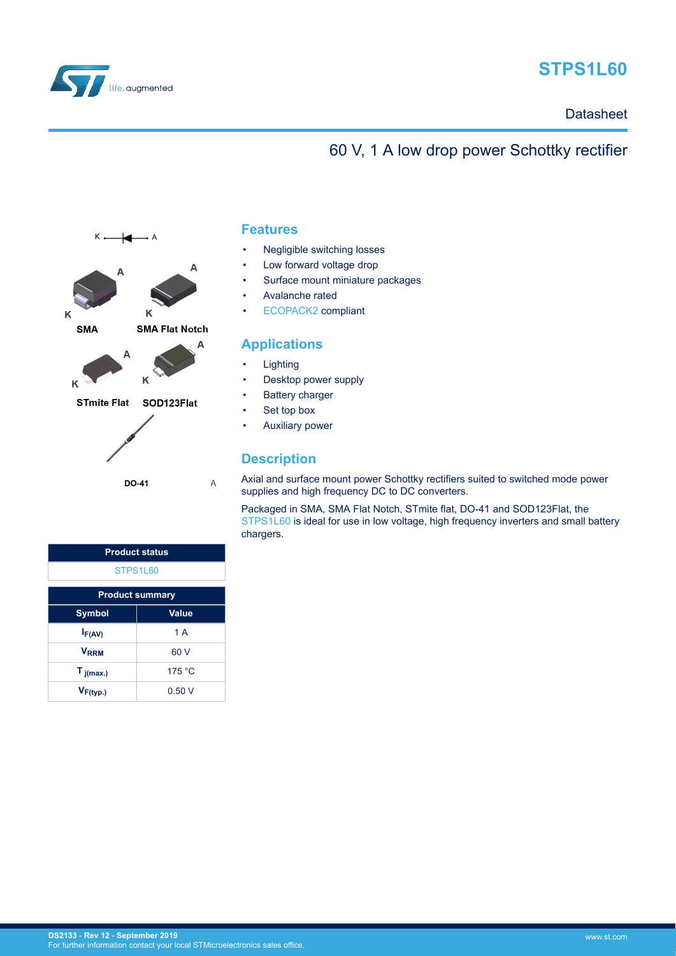<span id="page-0-0"></span>

# **STPS1L60**

# 60 V, 1 A low drop power Schottky rectifier



### **Features**

- Negligible switching losses
- Low forward voltage drop
- Surface mount miniature packages
- Avalanche rated
- [ECOPACK2](https://www.st.com/ecopack) compliant

### **Applications**

- **Lighting**
- Desktop power supply
- **Battery charger**
- Set top box
- Auxiliary power

### **Description**

Axial and surface mount power Schottky rectifiers suited to switched mode power supplies and high frequency DC to DC converters.

Packaged in SMA, SMA Flat Notch, STmite flat, DO-41 and SOD123Flat, the [STPS1L60](https://www.st.com/en/product/stps1l60?ecmp=tt9470_gl_link_feb2019&rt=ds&id=DS2133) is ideal for use in low voltage, high frequency inverters and small battery chargers.

| <b>Product status</b>  |        |  |  |  |  |
|------------------------|--------|--|--|--|--|
| STPS1L60               |        |  |  |  |  |
| <b>Product summary</b> |        |  |  |  |  |
| Value<br><b>Symbol</b> |        |  |  |  |  |
| $I_{F(AV)}$            | 1A     |  |  |  |  |
| <b>VRRM</b>            | 60 V   |  |  |  |  |
| $T_{j(max.)}$          | 175 °C |  |  |  |  |
| $V_{F(typ.)}$          | 0.50V  |  |  |  |  |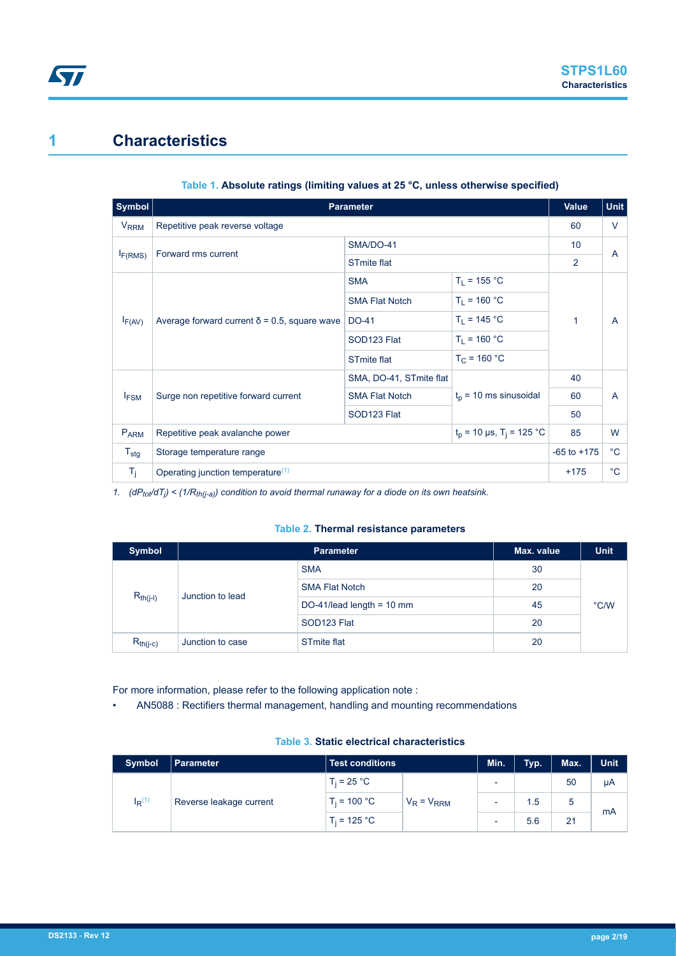# <span id="page-1-0"></span>**1 Characteristics**

| $ $ Symbol $ $         | <b>Parameter</b>                                                          |                         | Value                   | <b>Unit</b>    |              |
|------------------------|---------------------------------------------------------------------------|-------------------------|-------------------------|----------------|--------------|
| <b>V<sub>RRM</sub></b> | Repetitive peak reverse voltage                                           |                         |                         | 60             | $\vee$       |
|                        | Forward rms current                                                       | SMA/DO-41               |                         | 10             | A            |
| $I_{F(RMS)}$           |                                                                           | <b>STmite flat</b>      |                         | $\overline{2}$ |              |
|                        |                                                                           | <b>SMA</b>              | $T_L = 155 °C$          |                |              |
| $I_{F(AV)}$            |                                                                           | <b>SMA Flat Notch</b>   | $T_1 = 160 °C$          | 1              | A            |
|                        | Average forward current $\delta$ = 0.5, square wave                       | DO-41                   | $T_1 = 145 °C$          |                |              |
|                        |                                                                           | SOD123 Flat             | $T_1 = 160 °C$          |                |              |
|                        |                                                                           | <b>STmite flat</b>      | $T_{C}$ = 160 °C        |                |              |
|                        |                                                                           | SMA, DO-41, STmite flat |                         | 40             |              |
| <b>IFSM</b>            | Surge non repetitive forward current                                      | <b>SMA Flat Notch</b>   | $tp$ = 10 ms sinusoidal | 60             | A            |
|                        |                                                                           | SOD <sub>123</sub> Flat |                         | 50             |              |
| PARM                   | $t_p$ = 10 µs, T <sub>i</sub> = 125 °C<br>Repetitive peak avalanche power |                         |                         |                | W            |
| $T_{\text{stg}}$       | Storage temperature range                                                 |                         |                         |                | $^{\circ}$ C |
| $T_{j}$                | Operating junction temperature <sup>(1)</sup>                             |                         |                         | $+175$         | $^{\circ}C$  |

#### **Table 1. Absolute ratings (limiting values at 25 °C, unless otherwise specified)**

*1. (dPtot/dT<sup>j</sup> ) < (1/Rth(j-a)) condition to avoid thermal runaway for a diode on its own heatsink.*

#### **Table 2. Thermal resistance parameters**

| <b>Symbol</b>                     |                  | Max. value                          | <b>Unit</b> |               |
|-----------------------------------|------------------|-------------------------------------|-------------|---------------|
|                                   |                  | <b>SMA</b>                          | 30          |               |
| $R_{th(i-l)}$<br>Junction to lead |                  | <b>SMA Flat Notch</b>               |             |               |
|                                   |                  | DO-41/lead length = $10 \text{ mm}$ | 45          | $\degree$ C/W |
|                                   |                  | SOD <sub>123</sub> Flat             | 20          |               |
| $R_{th(j-c)}$                     | Junction to case | <b>STmite flat</b>                  | 20          |               |

For more information, please refer to the following application note :

• AN5088 : Rectifiers thermal management, handling and mounting recommendations

#### **Table 3. Static electrical characteristics**

| Symbol                                 | <b>Parameter</b> | <b>Test conditions</b> |                 | Min.                     | Typ. | Max. | <b>Unit</b> |
|----------------------------------------|------------------|------------------------|-----------------|--------------------------|------|------|-------------|
| $I_R^{(1)}$<br>Reverse leakage current |                  | $T_i = 25 °C$          |                 | $\overline{\phantom{a}}$ |      | 50   | μA          |
|                                        |                  | $T_i = 100 °C$         | $V_R = V_{RRM}$ |                          | 1.5  | 5    |             |
|                                        |                  | $T_i = 125 °C$         |                 | $\overline{\phantom{a}}$ | 5.6  | 21   | mA          |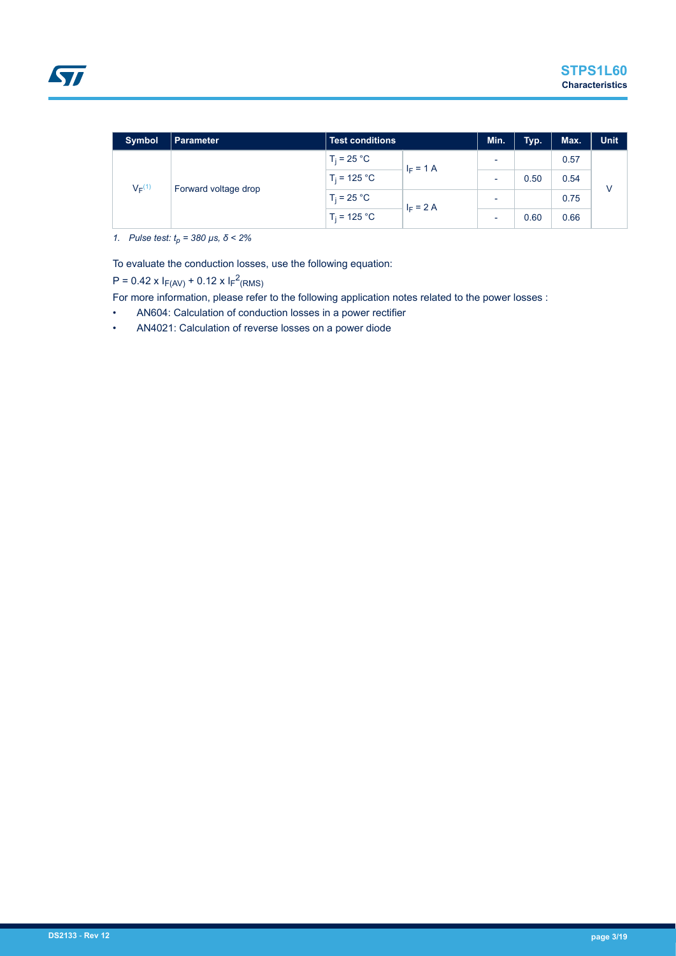<span id="page-2-0"></span>

| <b>Symbol</b> | Parameter            | <b>Test conditions</b> |                            | Min.                     | Typ. | Max. | <b>Unit</b>  |
|---------------|----------------------|------------------------|----------------------------|--------------------------|------|------|--------------|
| $V_F^{(1)}$   | Forward voltage drop | $T_i = 25 °C$          | $I_F = 1 A$<br>$I_F = 2 A$ | $\overline{\phantom{0}}$ |      | 0.57 | $\mathsf{V}$ |
|               |                      | $T_i = 125 °C$         |                            | $\overline{\phantom{0}}$ | 0.50 | 0.54 |              |
|               |                      | $T_i = 25 °C$          |                            | $\overline{\phantom{a}}$ |      | 0.75 |              |
|               |                      | $T_i = 125 °C$         |                            | $\overline{\phantom{a}}$ | 0.60 | 0.66 |              |

*1. Pulse test: tp = 380 µs, δ < 2%*

To evaluate the conduction losses, use the following equation:

 $P = 0.42 \times I_{F(AV)} + 0.12 \times I_{F}^{2}(RMS)$ 

For more information, please refer to the following application notes related to the power losses :

- AN604: Calculation of conduction losses in a power rectifier
- AN4021: Calculation of reverse losses on a power diode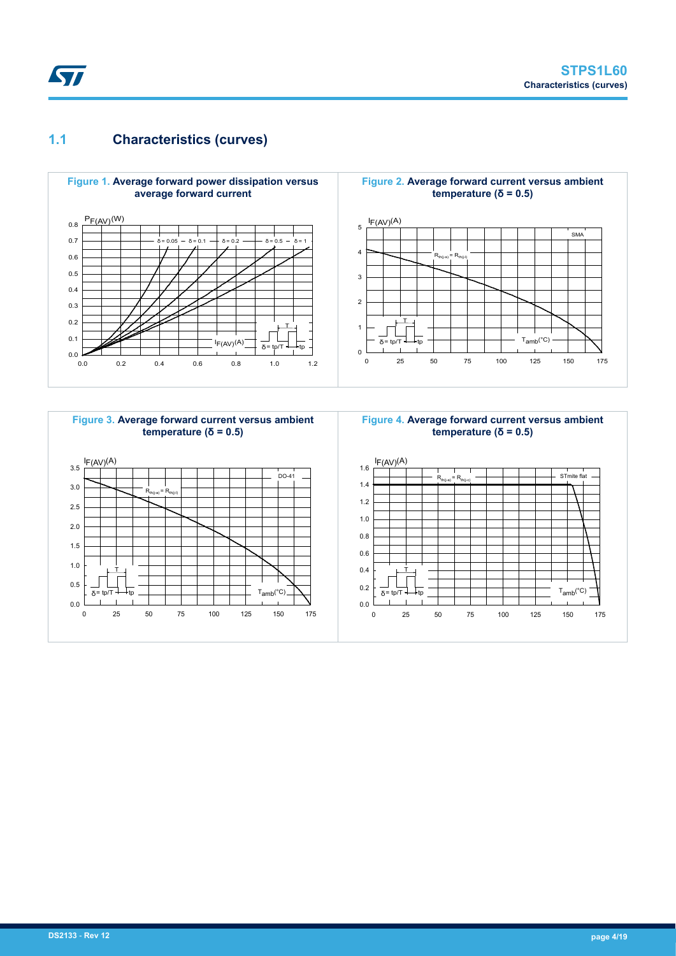### **1.1 Characteristics (curves)**

**ST** 



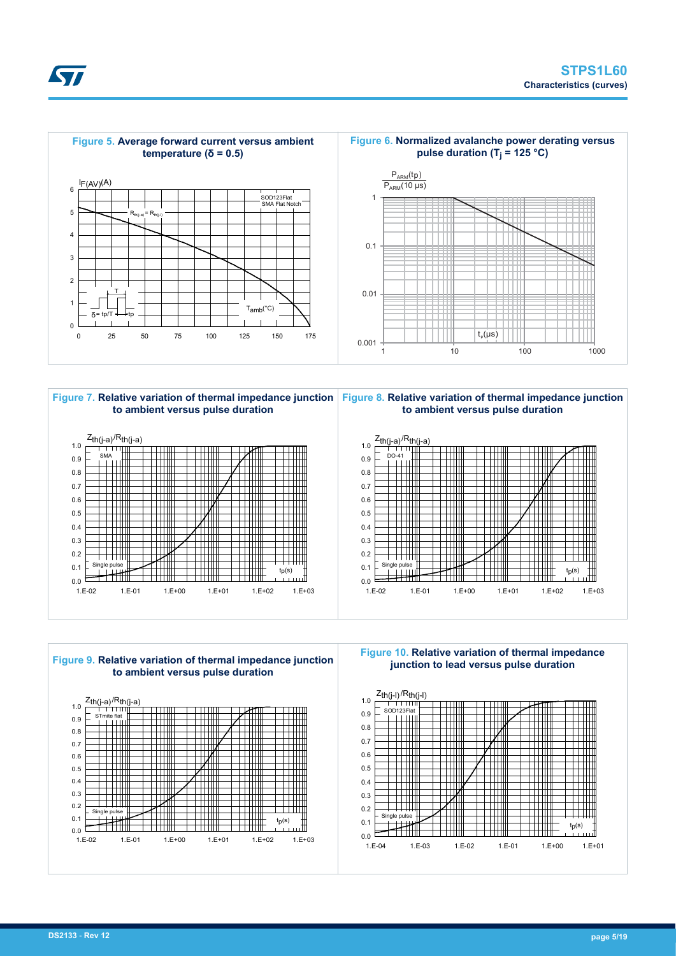





**Figure 10. Relative variation of thermal impedance junction to lead versus pulse duration**



**DS2133** - **Rev 12 page 5/19**

57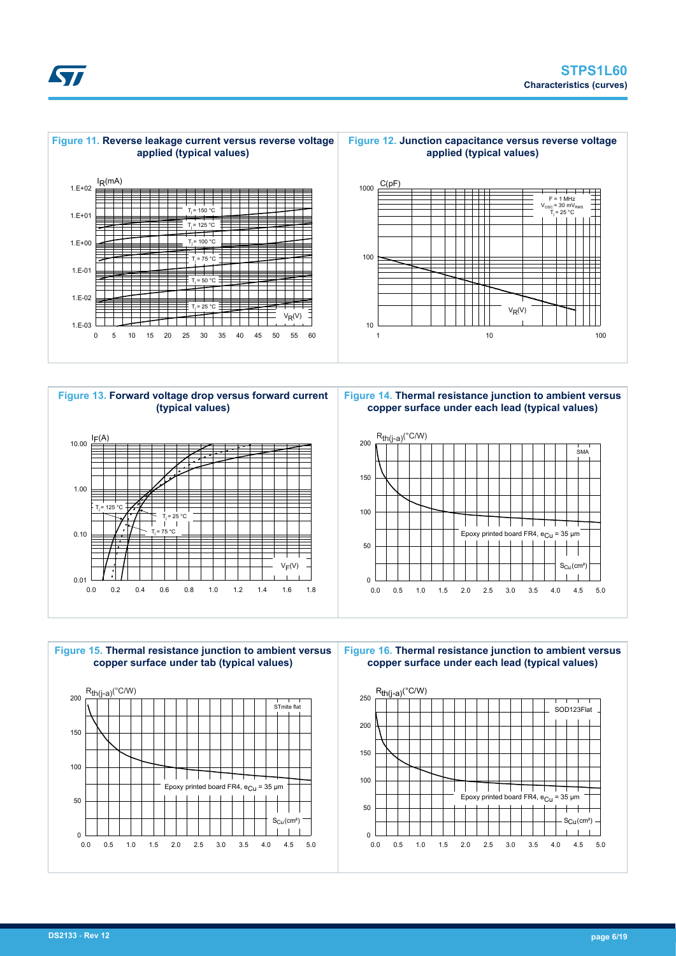







**Figure 14. Thermal resistance junction to ambient versus copper surface under each lead (typical values)**





**Figure 16. Thermal resistance junction to ambient versus copper surface under each lead (typical values)**

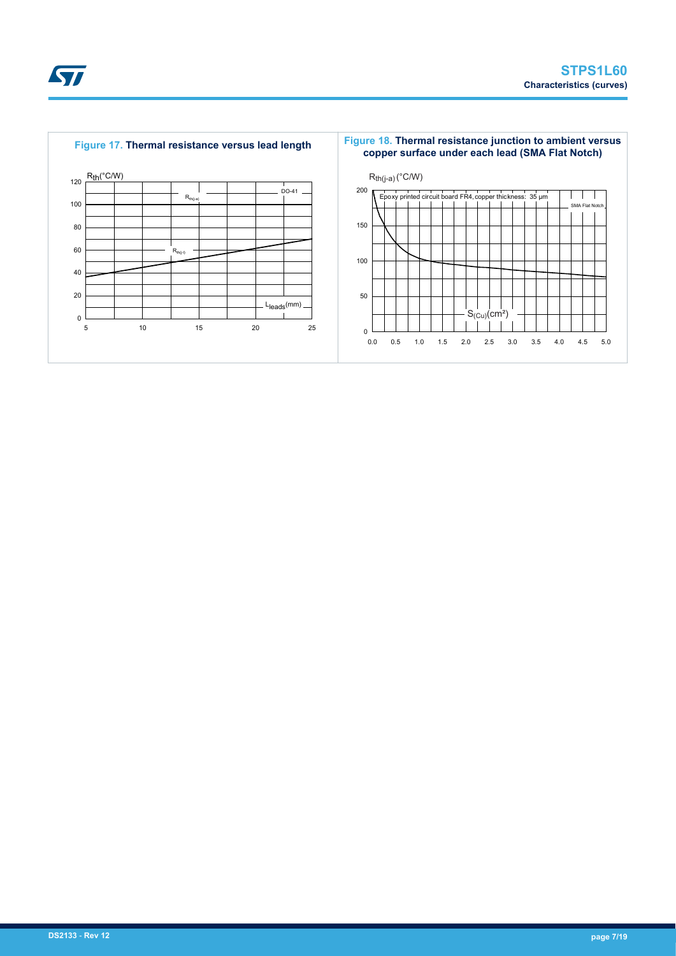



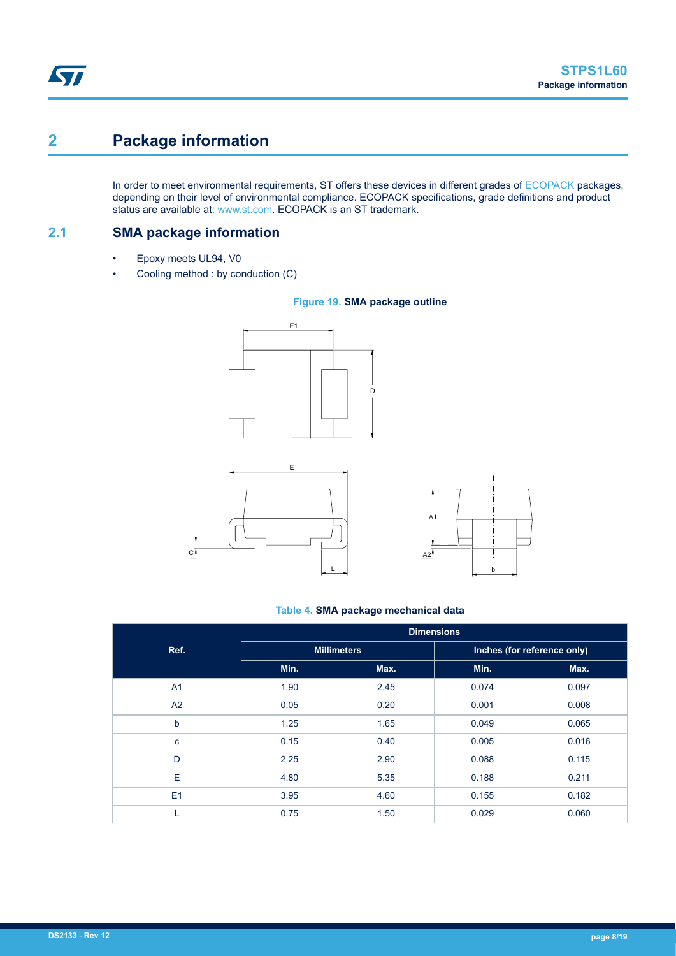# **2 Package information**

In order to meet environmental requirements, ST offers these devices in different grades of [ECOPACK](https://www.st.com/ecopack) packages, depending on their level of environmental compliance. ECOPACK specifications, grade definitions and product status are available at: [www.st.com.](http://www.st.com) ECOPACK is an ST trademark.

**2.1 SMA package information**

- Epoxy meets UL94, V0
- Cooling method : by conduction (C)



#### **Figure 19. SMA package outline**

#### **Table 4. SMA package mechanical data**

b

 $\overline{\phantom{a}}$ 

 $\overline{\phantom{a}}$ 

|             | <b>Dimensions</b> |                    |                             |       |  |  |  |
|-------------|-------------------|--------------------|-----------------------------|-------|--|--|--|
| Ref.        |                   | <b>Millimeters</b> | Inches (for reference only) |       |  |  |  |
|             | Min.              | Max.               | Min.                        | Max.  |  |  |  |
| A1          | 1.90              | 2.45               | 0.074                       | 0.097 |  |  |  |
| A2          | 0.05              | 0.20               | 0.001                       | 0.008 |  |  |  |
| b           | 1.25              | 1.65               | 0.049                       | 0.065 |  |  |  |
| $\mathbf c$ | 0.15              | 0.40               | 0.005                       | 0.016 |  |  |  |
| D           | 2.25              | 2.90               | 0.088                       | 0.115 |  |  |  |
| E           | 4.80              | 5.35               | 0.188                       | 0.211 |  |  |  |
| E1          | 3.95              | 4.60               | 0.155                       | 0.182 |  |  |  |
| L           | 0.75              | 1.50               | 0.029                       | 0.060 |  |  |  |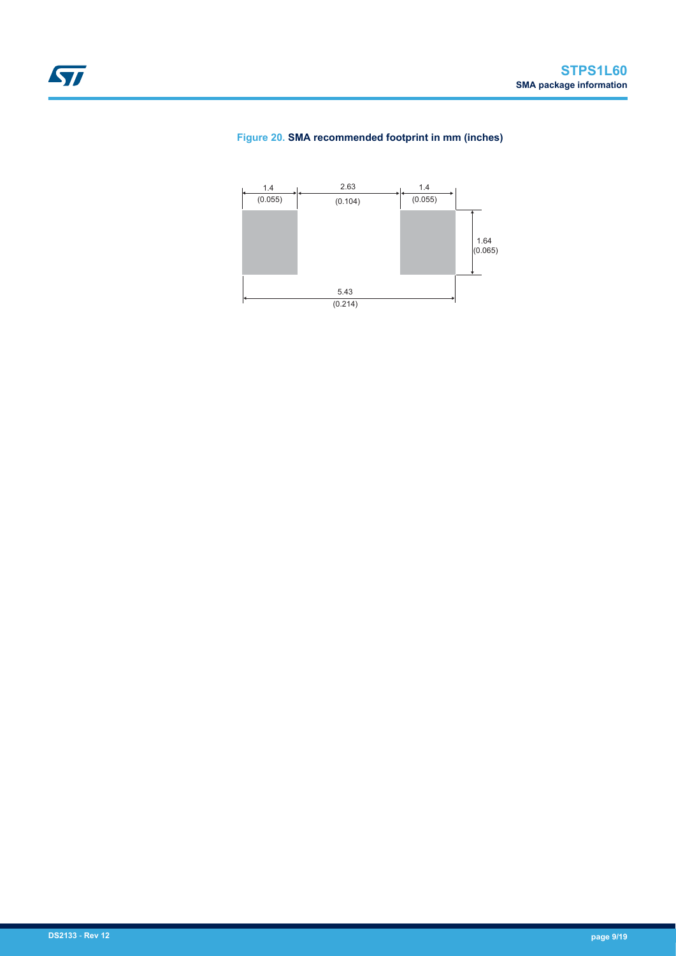#### **Figure 20. SMA recommended footprint in mm (inches)**

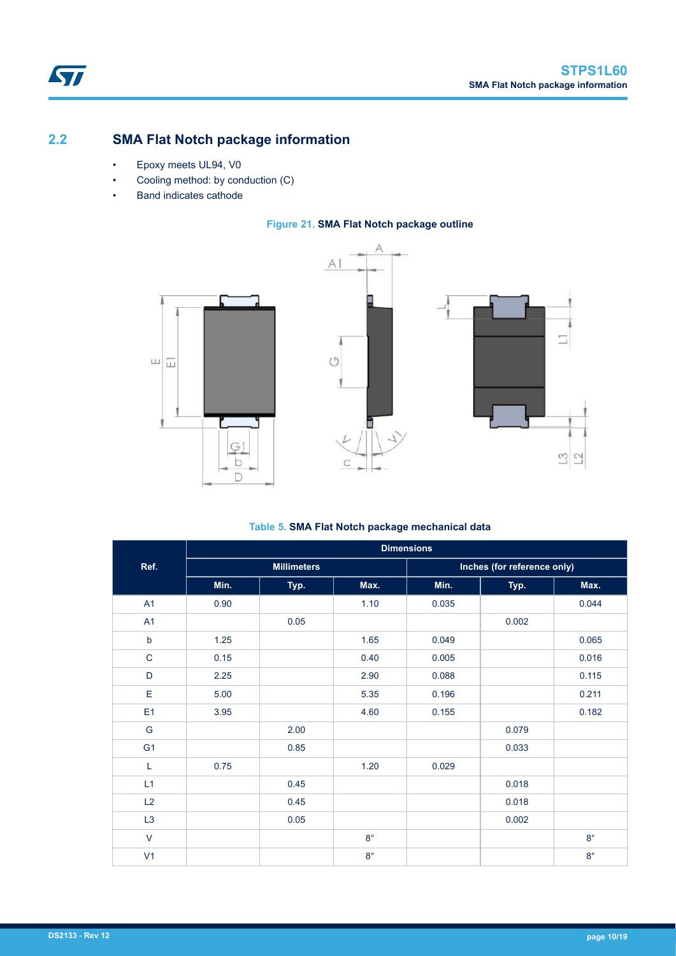## <span id="page-9-0"></span>**2.2 SMA Flat Notch package information**

- Epoxy meets UL94, V0
- Cooling method: by conduction (C)
- Band indicates cathode

#### **Figure 21. SMA Flat Notch package outline**







#### **Table 5. SMA Flat Notch package mechanical data**

|                | <b>Dimensions</b> |                    |             |       |                             |             |  |  |  |  |
|----------------|-------------------|--------------------|-------------|-------|-----------------------------|-------------|--|--|--|--|
| Ref.           |                   | <b>Millimeters</b> |             |       | Inches (for reference only) |             |  |  |  |  |
|                | Min.              | Typ.               | Max.        | Min.  | Typ.                        | Max.        |  |  |  |  |
| A1             | 0.90              |                    | 1.10        | 0.035 |                             | 0.044       |  |  |  |  |
| A1             |                   | 0.05               |             |       | 0.002                       |             |  |  |  |  |
| $\sf b$        | 1.25              |                    | 1.65        | 0.049 |                             | 0.065       |  |  |  |  |
| $\mathsf C$    | 0.15              |                    | 0.40        | 0.005 |                             | 0.016       |  |  |  |  |
| D              | 2.25              |                    | 2.90        | 0.088 |                             | 0.115       |  |  |  |  |
| E              | 5.00              |                    | 5.35        | 0.196 |                             | 0.211       |  |  |  |  |
| E <sub>1</sub> | 3.95              |                    | 4.60        | 0.155 |                             | 0.182       |  |  |  |  |
| G              |                   | 2.00               |             |       | 0.079                       |             |  |  |  |  |
| G <sub>1</sub> |                   | 0.85               |             |       | 0.033                       |             |  |  |  |  |
| Г              | 0.75              |                    | 1.20        | 0.029 |                             |             |  |  |  |  |
| L1             |                   | 0.45               |             |       | 0.018                       |             |  |  |  |  |
| L2             |                   | 0.45               |             |       | 0.018                       |             |  |  |  |  |
| L3             |                   | 0.05               |             |       | 0.002                       |             |  |  |  |  |
| $\vee$         |                   |                    | $8^{\circ}$ |       |                             | $8^{\circ}$ |  |  |  |  |
| V <sub>1</sub> |                   |                    | $8^{\circ}$ |       |                             | $8^{\circ}$ |  |  |  |  |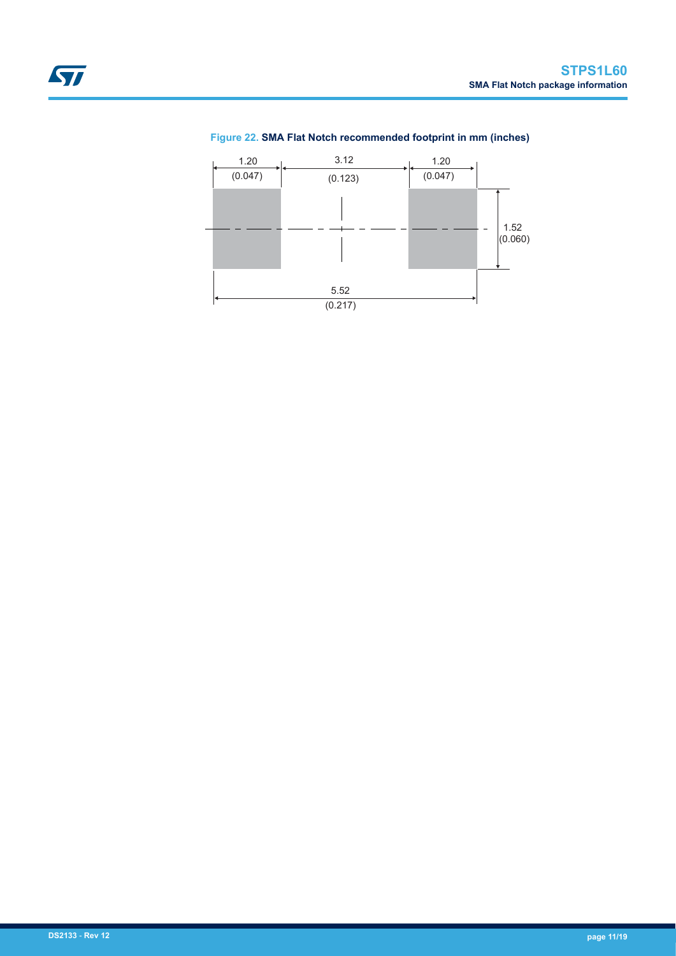#### **Figure 22. SMA Flat Notch recommended footprint in mm (inches)**

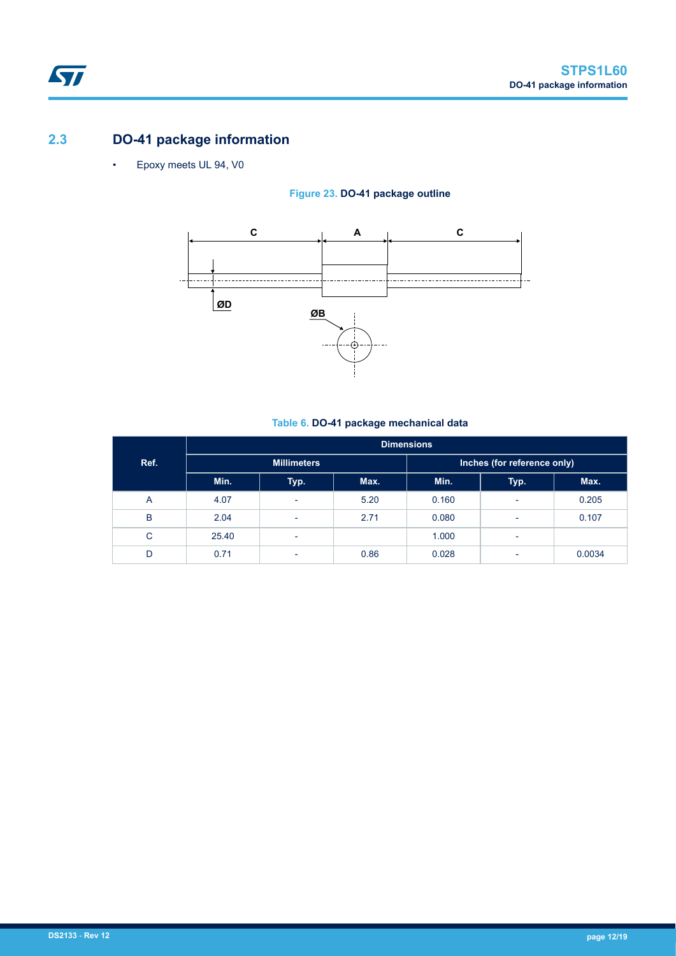## **2.3 DO-41 package information**

ST

• Epoxy meets UL 94, V0

#### **Figure 23. DO-41 package outline**



#### **Table 6. DO-41 package mechanical data**

|      | <b>Dimensions</b> |                          |      |       |                             |        |  |  |  |  |
|------|-------------------|--------------------------|------|-------|-----------------------------|--------|--|--|--|--|
| Ref. |                   | <b>Millimeters</b>       |      |       | Inches (for reference only) |        |  |  |  |  |
|      | Min.              | Typ.                     | Max. | Min.  | Typ.                        | Max.   |  |  |  |  |
| A    | 4.07              | ۰                        | 5.20 | 0.160 | $\overline{\phantom{a}}$    | 0.205  |  |  |  |  |
| B    | 2.04              | $\overline{\phantom{a}}$ | 2.71 | 0.080 | ٠                           | 0.107  |  |  |  |  |
| C    | 25.40             | $\overline{\phantom{a}}$ |      | 1.000 | $\overline{\phantom{a}}$    |        |  |  |  |  |
| D    | 0.71              | $\overline{\phantom{a}}$ | 0.86 | 0.028 | $\overline{\phantom{a}}$    | 0.0034 |  |  |  |  |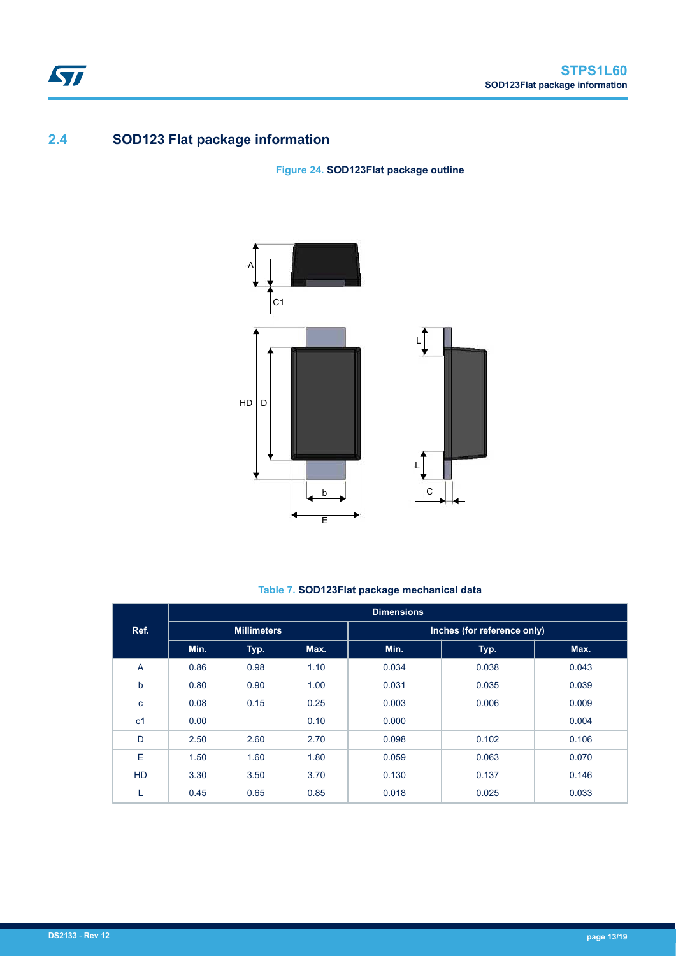## **2.4 SOD123 Flat package information**

**Figure 24. SOD123Flat package outline**



### **Table 7. SOD123Flat package mechanical data**

|                |      |                    |      | <b>Dimensions</b> |                             |       |
|----------------|------|--------------------|------|-------------------|-----------------------------|-------|
| Ref.           |      | <b>Millimeters</b> |      |                   | Inches (for reference only) |       |
|                | Min. | Typ.               | Max. | Min.              | Typ.                        | Max.  |
| $\overline{A}$ | 0.86 | 0.98               | 1.10 | 0.034             | 0.038                       | 0.043 |
| $\mathsf b$    | 0.80 | 0.90               | 1.00 | 0.031             | 0.035                       | 0.039 |
| $\mathbf c$    | 0.08 | 0.15               | 0.25 | 0.003             | 0.006                       | 0.009 |
| c <sub>1</sub> | 0.00 |                    | 0.10 | 0.000             |                             | 0.004 |
| D              | 2.50 | 2.60               | 2.70 | 0.098             | 0.102                       | 0.106 |
| Е              | 1.50 | 1.60               | 1.80 | 0.059             | 0.063                       | 0.070 |
| <b>HD</b>      | 3.30 | 3.50               | 3.70 | 0.130             | 0.137                       | 0.146 |
| L.             | 0.45 | 0.65               | 0.85 | 0.018             | 0.025                       | 0.033 |

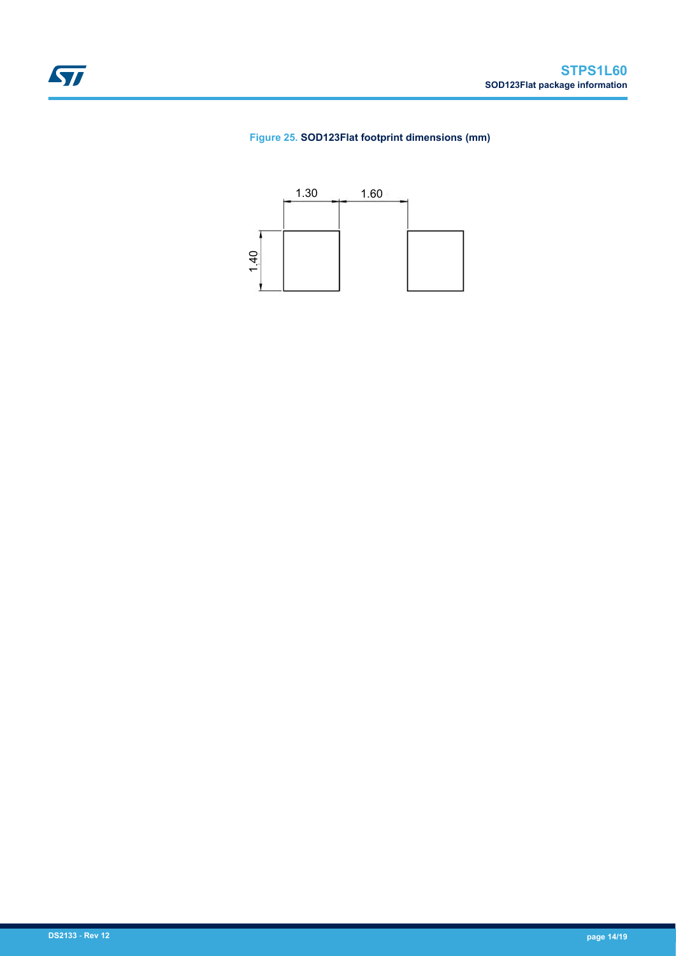#### **Figure 25. SOD123Flat footprint dimensions (mm)**

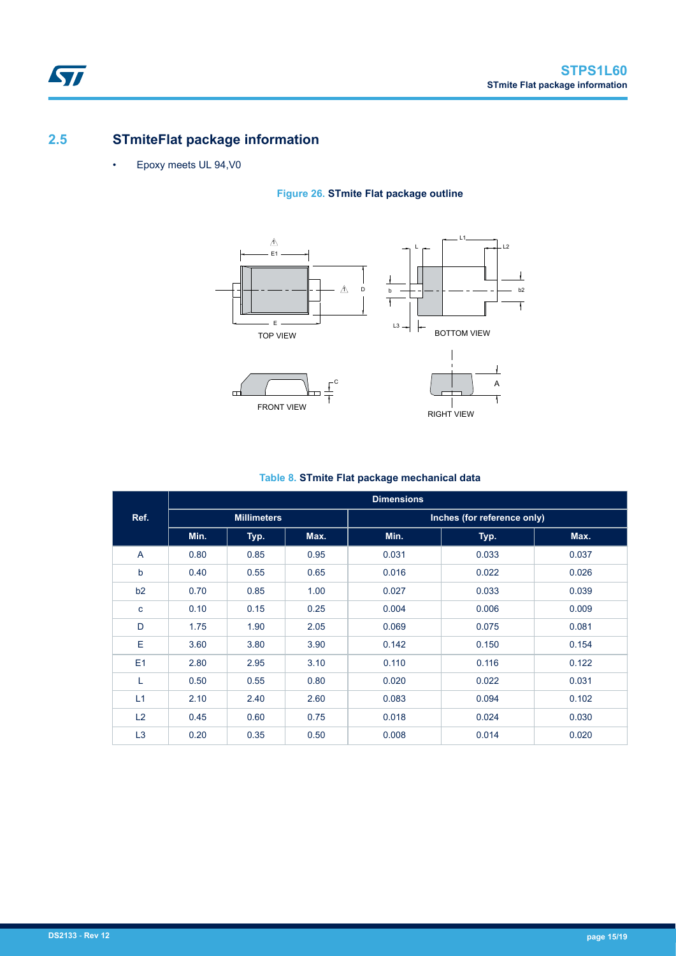## **2.5 STmiteFlat package information**

• Epoxy meets UL 94,V0

 $\sqrt{2}$ 

### **Figure 26. STmite Flat package outline**



### **Table 8. STmite Flat package mechanical data**

|                |      |                    |      | <b>Dimensions</b> |                             |       |
|----------------|------|--------------------|------|-------------------|-----------------------------|-------|
| Ref.           |      | <b>Millimeters</b> |      |                   | Inches (for reference only) |       |
|                | Min. | Typ.               | Max. | Min.              | Typ.                        | Max.  |
| A              | 0.80 | 0.85               | 0.95 | 0.031             | 0.033                       | 0.037 |
| b              | 0.40 | 0.55               | 0.65 | 0.016             | 0.022                       | 0.026 |
| b2             | 0.70 | 0.85               | 1.00 | 0.027             | 0.033                       | 0.039 |
| c              | 0.10 | 0.15               | 0.25 | 0.004             | 0.006                       | 0.009 |
| D              | 1.75 | 1.90               | 2.05 | 0.069             | 0.075                       | 0.081 |
| Ε              | 3.60 | 3.80               | 3.90 | 0.142             | 0.150                       | 0.154 |
| E <sub>1</sub> | 2.80 | 2.95               | 3.10 | 0.110             | 0.116                       | 0.122 |
| L              | 0.50 | 0.55               | 0.80 | 0.020             | 0.022                       | 0.031 |
| L1             | 2.10 | 2.40               | 2.60 | 0.083             | 0.094                       | 0.102 |
| L2             | 0.45 | 0.60               | 0.75 | 0.018             | 0.024                       | 0.030 |
| L <sub>3</sub> | 0.20 | 0.35               | 0.50 | 0.008             | 0.014                       | 0.020 |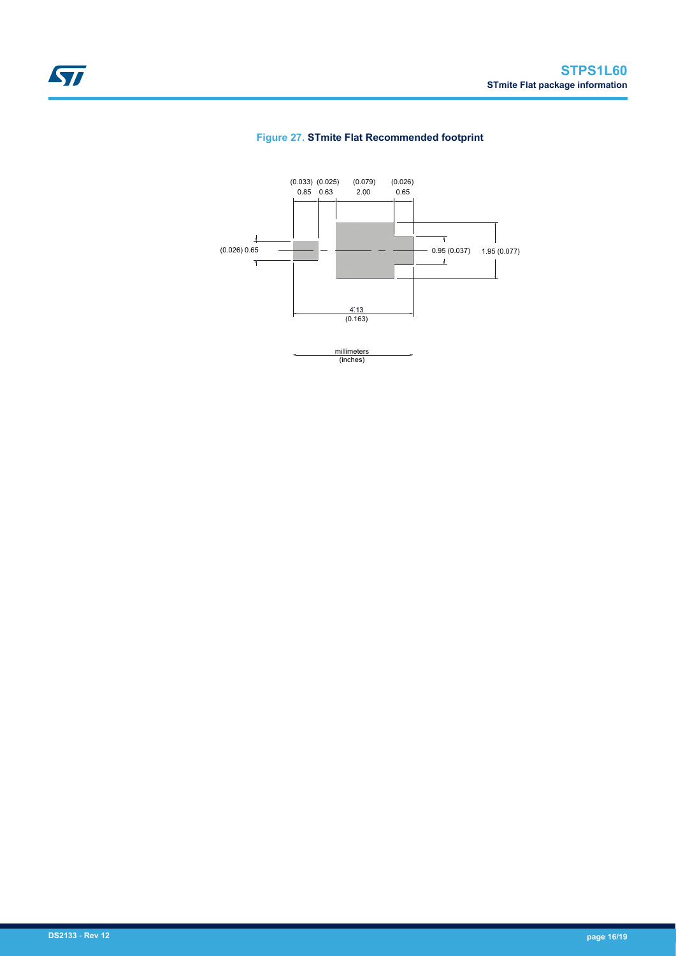

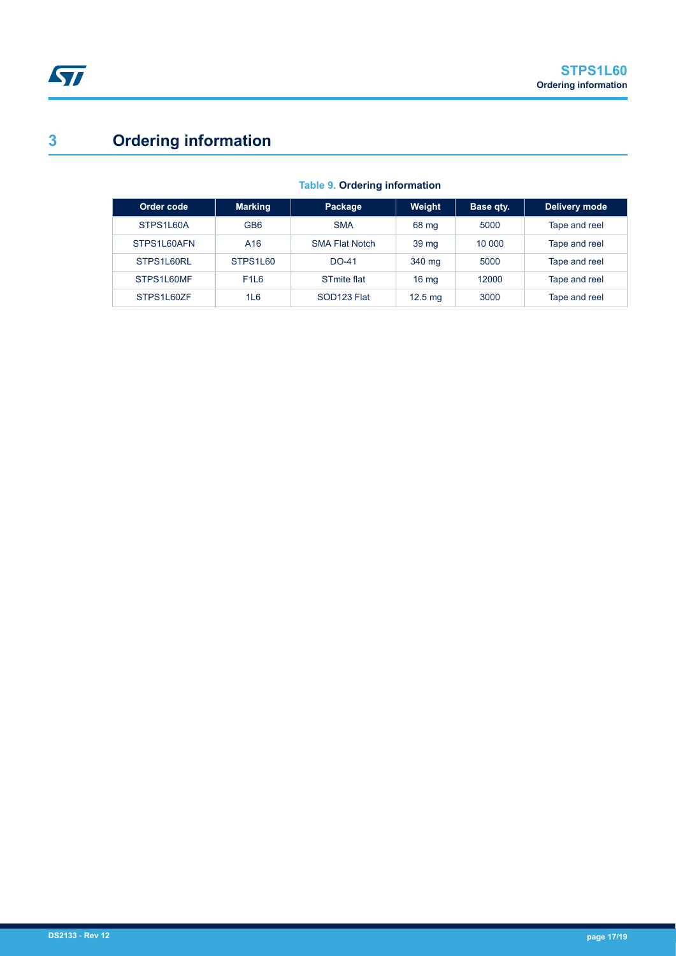# **3 Ordering information**

| Order code  | <b>Marking</b>  | Package                 | Weight            | Base qty. | Delivery mode |
|-------------|-----------------|-------------------------|-------------------|-----------|---------------|
| STPS1L60A   | GB <sub>6</sub> | <b>SMA</b>              | 68 mg             | 5000      | Tape and reel |
| STPS1L60AFN | A <sub>16</sub> | <b>SMA Flat Notch</b>   | 39 <sub>mg</sub>  | 10 000    | Tape and reel |
| STPS1L60RL  | STPS1L60        | $DO-41$                 | 340 mg            | 5000      | Tape and reel |
| STPS1L60MF  | <b>F1L6</b>     | STmite flat             | 16 <sub>mg</sub>  | 12000     | Tape and reel |
| STPS1L60ZF  | 1L6             | SOD <sub>123</sub> Flat | $12.5 \text{ ma}$ | 3000      | Tape and reel |

#### **Table 9. Ordering information**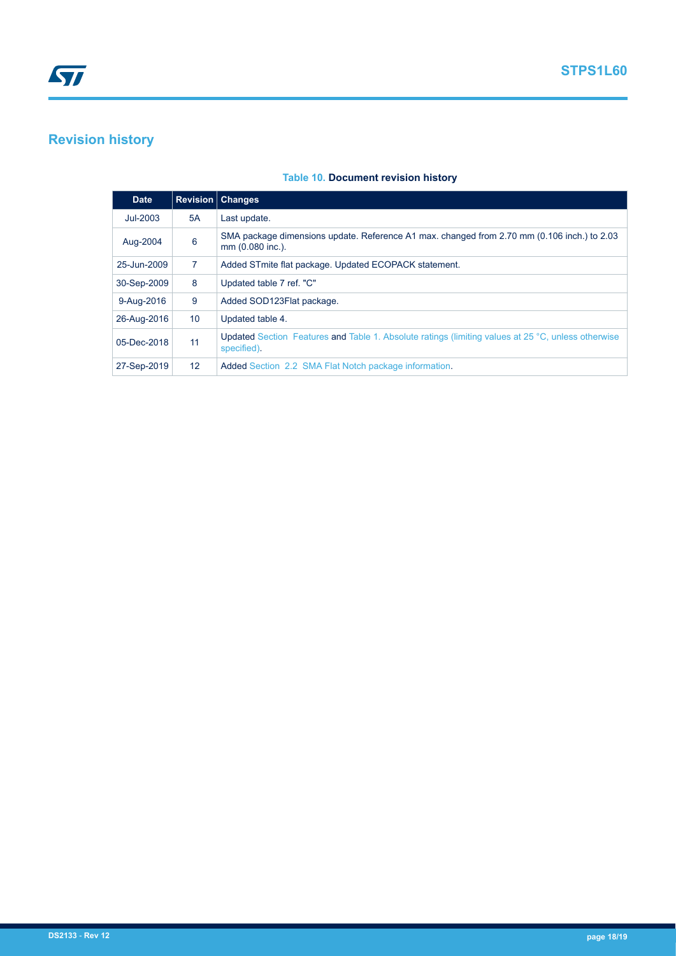# **Revision history**

#### **Table 10. Document revision history**

| <b>Date</b> |                 | <b>Revision   Changes</b>                                                                                                |
|-------------|-----------------|--------------------------------------------------------------------------------------------------------------------------|
| $Jul-2003$  | 5A              | Last update.                                                                                                             |
| Aug-2004    | 6               | SMA package dimensions update. Reference A1 max. changed from 2.70 mm (0.106 inch.) to 2.03<br>mm (0.080 inc.).          |
| 25-Jun-2009 | $\overline{7}$  | Added STmite flat package. Updated ECOPACK statement.                                                                    |
| 30-Sep-2009 | 8               | Updated table 7 ref. "C"                                                                                                 |
| 9-Aug-2016  | 9               | Added SOD123Flat package.                                                                                                |
| 26-Aug-2016 | 10 <sup>°</sup> | Updated table 4.                                                                                                         |
| 05-Dec-2018 | 11              | <b>Updated</b> Section Features and Table 1. Absolute ratings (limiting values at 25 °C, unless otherwise<br>specified). |
| 27-Sep-2019 | 12 <sup>2</sup> | Added Section 2.2 SMA Flat Notch package information.                                                                    |